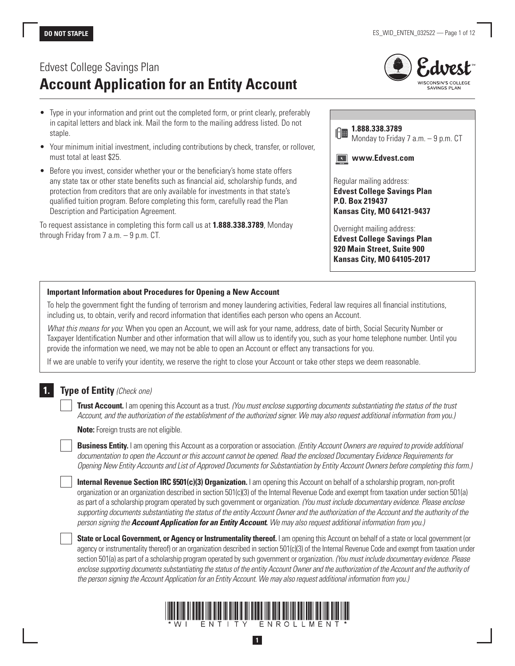# Edvest College Savings Plan **Account Application for an Entity Account**

- Type in your information and print out the completed form, or print clearly, preferably in capital letters and black ink. Mail the form to the mailing address listed. Do not staple.
- Your minimum initial investment, including contributions by check, transfer, or rollover, must total at least \$25.
- Before you invest, consider whether your or the beneficiary's home state offers any state tax or other state benefits such as financial aid, scholarship funds, and protection from creditors that are only available for investments in that state's qualified tuition program. Before completing this form, carefully read the Plan Description and Participation Agreement.

To request assistance in completing this form call us at **1.888.338.3789**, Monday through Friday from 7 a.m. – 9 p.m. CT.



| 1.888.338.3789<br>$\  \cdot \ $ 88<br>Monday to Friday 7 a.m. - 9 p.m. CT                                              |
|------------------------------------------------------------------------------------------------------------------------|
| www.Edvest.com                                                                                                         |
| Regular mailing address:<br><b>Edvest College Savings Plan</b><br>P.O. Box 219437<br><b>Kansas City, MO 64121-9437</b> |
| Overnight mailing address:<br><b>Edvest College Savings Plan</b>                                                       |

**Edvest College Savings Plan 920 Main Street, Suite 900 Kansas City, MO 64105-2017**

#### **Important Information about Procedures for Opening a New Account**

To help the government fight the funding of terrorism and money laundering activities, Federal law requires all financial institutions, including us, to obtain, verify and record information that identifies each person who opens an Account.

*What this means for you*: When you open an Account, we will ask for your name, address, date of birth, Social Security Number or Taxpayer Identification Number and other information that will allow us to identify you, such as your home telephone number. Until you provide the information we need, we may not be able to open an Account or effect any transactions for you.

If we are unable to verify your identity, we reserve the right to close your Account or take other steps we deem reasonable.

# **1. Type of Entity** *(Check one)*

**Trust Account.** I am opening this Account as a trust. *(You must enclose supporting documents substantiating the status of the trust Account, and the authorization of the establishment of the authorized signer. We may also request additional information from you.)*

**Note:** Foreign trusts are not eligible.

**Business Entity.** I am opening this Account as a corporation or association. *(Entity Account Owners are required to provide additional documentation to open the Account or this account cannot be opened. Read the enclosed Documentary Evidence Requirements for Opening New Entity Accounts and List of Approved Documents for Substantiation by Entity Account Owners before completing this form.)*

**Internal Revenue Section IRC §501(c)(3) Organization.** I am opening this Account on behalf of a scholarship program, non-profit organization or an organization described in section 501(c)(3) of the Internal Revenue Code and exempt from taxation under section 501(a) as part of a scholarship program operated by such government or organization. *(You must include documentary evidence. Please enclose supporting documents substantiating the status of the entity Account Owner and the authorization of the Account and the authority of the person signing the Account Application for an Entity Account***.** *We may also request additional information from you.)*

**State or Local Government, or Agency or Instrumentality thereof.** I am opening this Account on behalf of a state or local government (or agency or instrumentality thereof) or an organization described in section 501(c)(3) of the Internal Revenue Code and exempt from taxation under section 501(a) as part of a scholarship program operated by such government or organization. *(You must include documentary evidence. Please enclose supporting documents substantiating the status of the entity Account Owner and the authorization of the Account and the authority of the person signing the Account Application for an Entity Account. We may also request additional information from you.)*



**1**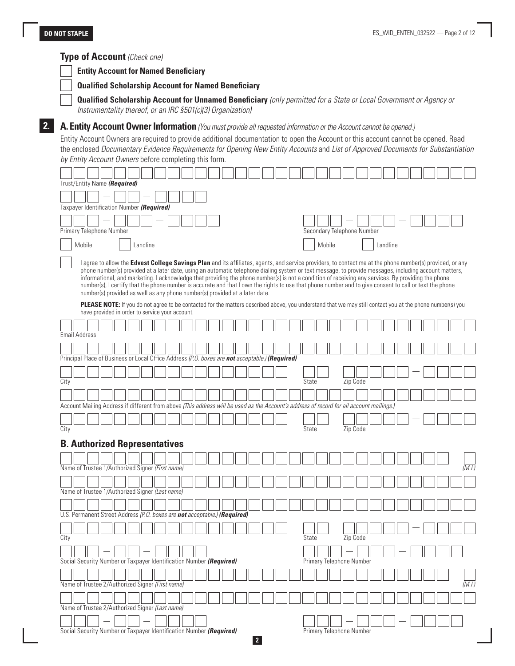#### **Type of Account** *(Check one)*

**Entity Account for Named Beneficiary**

**Qualified Scholarship Account for Named Beneficiary**

**Qualified Scholarship Account for Unnamed Beneficiary** *(only permitted for a State or Local Government or Agency or Instrumentality thereof, or an IRC §501(c)(3) Organization)*

# **2. A. Entity Account Owner Information** *(You must provide all requested information or the Account cannot be opened.)*

Entity Account Owners are required to provide additional documentation to open the Account or this account cannot be opened. Read the enclosed *Documentary Evidence Requirements for Opening New Entity Accounts* and *List of Approved Documents for Substantiation by Entity Account Owners* before completing this form.

|      |                      | Trust/Entity Name (Required)                                                                    |  |          |  |  |  |  |  |                                                                                                                                                                                                                                                                                                                |                            |          |  |          |  |  |        |
|------|----------------------|-------------------------------------------------------------------------------------------------|--|----------|--|--|--|--|--|----------------------------------------------------------------------------------------------------------------------------------------------------------------------------------------------------------------------------------------------------------------------------------------------------------------|----------------------------|----------|--|----------|--|--|--------|
|      |                      |                                                                                                 |  |          |  |  |  |  |  |                                                                                                                                                                                                                                                                                                                |                            |          |  |          |  |  |        |
|      |                      | Taxpayer Identification Number (Required)                                                       |  |          |  |  |  |  |  |                                                                                                                                                                                                                                                                                                                |                            |          |  |          |  |  |        |
|      |                      |                                                                                                 |  |          |  |  |  |  |  |                                                                                                                                                                                                                                                                                                                |                            |          |  |          |  |  |        |
|      |                      | Primary Telephone Number                                                                        |  |          |  |  |  |  |  |                                                                                                                                                                                                                                                                                                                | Secondary Telephone Number |          |  |          |  |  |        |
|      | Mobile               |                                                                                                 |  | Landline |  |  |  |  |  |                                                                                                                                                                                                                                                                                                                | Mobile                     |          |  | Landline |  |  |        |
|      |                      |                                                                                                 |  |          |  |  |  |  |  | I agree to allow the <b>Edvest College Savings Plan</b> and its affiliates, agents, and service providers, to contact me at the phone number(s) provided, or any                                                                                                                                               |                            |          |  |          |  |  |        |
|      |                      |                                                                                                 |  |          |  |  |  |  |  | phone number(s) provided at a later date, using an automatic telephone dialing system or text message, to provide messages, including account matters,                                                                                                                                                         |                            |          |  |          |  |  |        |
|      |                      |                                                                                                 |  |          |  |  |  |  |  | informational, and marketing. I acknowledge that providing the phone number(s) is not a condition of receiving any services. By providing the phone<br>number(s), I certify that the phone number is accurate and that I own the rights to use that phone number and to give consent to call or text the phone |                            |          |  |          |  |  |        |
|      |                      | number(s) provided as well as any phone number(s) provided at a later date.                     |  |          |  |  |  |  |  |                                                                                                                                                                                                                                                                                                                |                            |          |  |          |  |  |        |
|      |                      |                                                                                                 |  |          |  |  |  |  |  | <b>PLEASE NOTE:</b> If you do not agree to be contacted for the matters described above, you understand that we may still contact you at the phone number(s) you                                                                                                                                               |                            |          |  |          |  |  |        |
|      |                      | have provided in order to service your account.                                                 |  |          |  |  |  |  |  |                                                                                                                                                                                                                                                                                                                |                            |          |  |          |  |  |        |
|      |                      |                                                                                                 |  |          |  |  |  |  |  |                                                                                                                                                                                                                                                                                                                |                            |          |  |          |  |  |        |
|      | <b>Email Address</b> |                                                                                                 |  |          |  |  |  |  |  |                                                                                                                                                                                                                                                                                                                |                            |          |  |          |  |  |        |
|      |                      |                                                                                                 |  |          |  |  |  |  |  |                                                                                                                                                                                                                                                                                                                |                            |          |  |          |  |  |        |
|      |                      | Principal Place of Business or Local Office Address (P.O. boxes are not acceptable.) (Required) |  |          |  |  |  |  |  |                                                                                                                                                                                                                                                                                                                |                            |          |  |          |  |  |        |
|      |                      |                                                                                                 |  |          |  |  |  |  |  |                                                                                                                                                                                                                                                                                                                |                            |          |  |          |  |  |        |
| City |                      |                                                                                                 |  |          |  |  |  |  |  | State                                                                                                                                                                                                                                                                                                          |                            | Zip Code |  |          |  |  |        |
|      |                      |                                                                                                 |  |          |  |  |  |  |  |                                                                                                                                                                                                                                                                                                                |                            |          |  |          |  |  |        |
|      |                      |                                                                                                 |  |          |  |  |  |  |  | Account Mailing Address if different from above (This address will be used as the Account's address of record for all account mailings.)                                                                                                                                                                       |                            |          |  |          |  |  |        |
|      |                      |                                                                                                 |  |          |  |  |  |  |  |                                                                                                                                                                                                                                                                                                                |                            |          |  |          |  |  |        |
| City |                      |                                                                                                 |  |          |  |  |  |  |  | State                                                                                                                                                                                                                                                                                                          |                            | Zip Code |  |          |  |  |        |
|      |                      | <b>B. Authorized Representatives</b>                                                            |  |          |  |  |  |  |  |                                                                                                                                                                                                                                                                                                                |                            |          |  |          |  |  |        |
|      |                      |                                                                                                 |  |          |  |  |  |  |  |                                                                                                                                                                                                                                                                                                                |                            |          |  |          |  |  |        |
|      |                      | Name of Trustee 1/Authorized Signer (First name)                                                |  |          |  |  |  |  |  |                                                                                                                                                                                                                                                                                                                |                            |          |  |          |  |  | (M.I)  |
|      |                      |                                                                                                 |  |          |  |  |  |  |  |                                                                                                                                                                                                                                                                                                                |                            |          |  |          |  |  |        |
|      |                      | Name of Trustee 1/Authorized Signer (Last name)                                                 |  |          |  |  |  |  |  |                                                                                                                                                                                                                                                                                                                |                            |          |  |          |  |  |        |
|      |                      |                                                                                                 |  |          |  |  |  |  |  |                                                                                                                                                                                                                                                                                                                |                            |          |  |          |  |  |        |
|      |                      | U.S. Permanent Street Address (P.O. boxes are not acceptable.) (Required)                       |  |          |  |  |  |  |  |                                                                                                                                                                                                                                                                                                                |                            |          |  |          |  |  |        |
|      |                      |                                                                                                 |  |          |  |  |  |  |  |                                                                                                                                                                                                                                                                                                                |                            |          |  |          |  |  |        |
| City |                      |                                                                                                 |  |          |  |  |  |  |  | State                                                                                                                                                                                                                                                                                                          |                            | Zip Code |  |          |  |  |        |
|      |                      |                                                                                                 |  |          |  |  |  |  |  |                                                                                                                                                                                                                                                                                                                |                            |          |  |          |  |  |        |
|      |                      |                                                                                                 |  |          |  |  |  |  |  |                                                                                                                                                                                                                                                                                                                |                            |          |  |          |  |  |        |
|      |                      |                                                                                                 |  |          |  |  |  |  |  |                                                                                                                                                                                                                                                                                                                |                            |          |  |          |  |  |        |
|      |                      | Social Security Number or Taxpayer Identification Number (Required)                             |  |          |  |  |  |  |  |                                                                                                                                                                                                                                                                                                                | Primary Telephone Number   |          |  |          |  |  |        |
|      |                      |                                                                                                 |  |          |  |  |  |  |  |                                                                                                                                                                                                                                                                                                                |                            |          |  |          |  |  |        |
|      |                      | Name of Trustee 2/Authorized Signer (First name)                                                |  |          |  |  |  |  |  |                                                                                                                                                                                                                                                                                                                |                            |          |  |          |  |  | (M.I.) |
|      |                      |                                                                                                 |  |          |  |  |  |  |  |                                                                                                                                                                                                                                                                                                                |                            |          |  |          |  |  |        |
|      |                      | Name of Trustee 2/Authorized Signer (Last name)                                                 |  |          |  |  |  |  |  |                                                                                                                                                                                                                                                                                                                |                            |          |  |          |  |  |        |
|      |                      | Social Security Number or Taxpayer Identification Number (Required)                             |  |          |  |  |  |  |  |                                                                                                                                                                                                                                                                                                                | Primary Telephone Number   |          |  |          |  |  |        |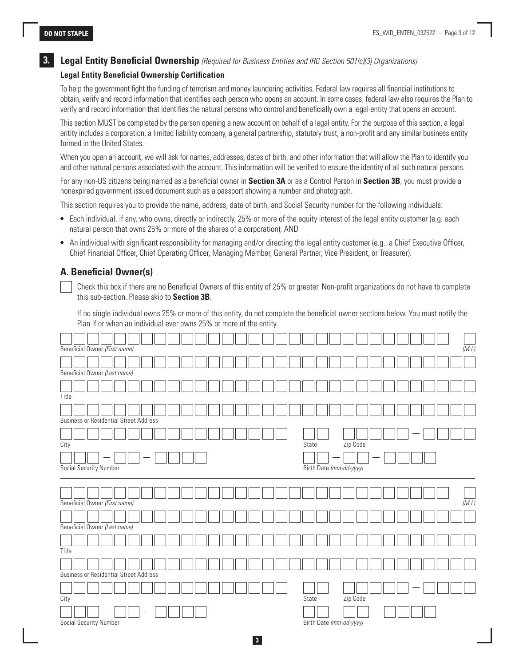### **3. Legal Entity Beneficial Ownership** *(Required for Business Entities and IRC Section 501(c)(3) Organizations)*

#### **Legal Entity Beneficial Ownership Certification**

To help the government fight the funding of terrorism and money laundering activities, Federal law requires all financial institutions to obtain, verify and record information that identifies each person who opens an account. In some cases, federal law also requires the Plan to verify and record information that identifies the natural persons who control and beneficially own a legal entity that opens an account.

This section MUST be completed by the person opening a new account on behalf of a legal entity. For the purpose of this section, a legal entity includes a corporation, a limited liability company, a general partnership, statutory trust, a non-profit and any similar business entity formed in the United States.

When you open an account, we will ask for names, addresses, dates of birth, and other information that will allow the Plan to identify you and other natural persons associated with the account. This information will be verified to ensure the identity of all such natural persons.

For any non-US citizens being named as a beneficial owner in **Section 3A** or as a Control Person in **Section 3B**, you must provide a nonexpired government issued document such as a passport showing a number and photograph.

This section requires you to provide the name, address, date of birth, and Social Security number for the following individuals:

- Each individual, if any, who owns, directly or indirectly, 25% or more of the equity interest of the legal entity customer (e.g. each natural person that owns 25% or more of the shares of a corporation); AND
- An individual with significant responsibility for managing and/or directing the legal entity customer (e.g., a Chief Executive Officer, Chief Financial Officer, Chief Operating Officer, Managing Member, General Partner, Vice President, or Treasurer).

### **A. Beneficial Owner(s)**

 Check this box if there are no Beneficial Owners of this entity of 25% or greater. Non-profit organizations do not have to complete this sub-section. Please skip to **Section 3B**.

If no single individual owns 25% or more of this entity, do not complete the beneficial owner sections below. You must notify the Plan if or when an individual ever owns 25% or more of the entity.

|       | Beneficial Owner (First name)                 |  |  |  |  |  |  |  |  |       |                         |          |  |  |  | (M.I.) |
|-------|-----------------------------------------------|--|--|--|--|--|--|--|--|-------|-------------------------|----------|--|--|--|--------|
|       |                                               |  |  |  |  |  |  |  |  |       |                         |          |  |  |  |        |
|       | Beneficial Owner (Last name)                  |  |  |  |  |  |  |  |  |       |                         |          |  |  |  |        |
|       |                                               |  |  |  |  |  |  |  |  |       |                         |          |  |  |  |        |
| Title |                                               |  |  |  |  |  |  |  |  |       |                         |          |  |  |  |        |
|       |                                               |  |  |  |  |  |  |  |  |       |                         |          |  |  |  |        |
|       | <b>Business or Residential Street Address</b> |  |  |  |  |  |  |  |  |       |                         |          |  |  |  |        |
|       |                                               |  |  |  |  |  |  |  |  |       |                         |          |  |  |  |        |
| City  |                                               |  |  |  |  |  |  |  |  | State |                         | Zip Code |  |  |  |        |
|       |                                               |  |  |  |  |  |  |  |  |       |                         |          |  |  |  |        |
|       | Social Security Number                        |  |  |  |  |  |  |  |  |       | Birth Date (mm-dd-yyyy) |          |  |  |  |        |
|       |                                               |  |  |  |  |  |  |  |  |       |                         |          |  |  |  |        |
|       |                                               |  |  |  |  |  |  |  |  |       |                         |          |  |  |  |        |
|       | Beneficial Owner (First name)                 |  |  |  |  |  |  |  |  |       |                         |          |  |  |  | (M.I.) |
|       |                                               |  |  |  |  |  |  |  |  |       |                         |          |  |  |  |        |
|       | Beneficial Owner (Last name)                  |  |  |  |  |  |  |  |  |       |                         |          |  |  |  |        |
|       |                                               |  |  |  |  |  |  |  |  |       |                         |          |  |  |  |        |
| Title |                                               |  |  |  |  |  |  |  |  |       |                         |          |  |  |  |        |
|       |                                               |  |  |  |  |  |  |  |  |       |                         |          |  |  |  |        |
|       | <b>Business or Residential Street Address</b> |  |  |  |  |  |  |  |  |       |                         |          |  |  |  |        |
|       |                                               |  |  |  |  |  |  |  |  |       |                         |          |  |  |  |        |
| City  |                                               |  |  |  |  |  |  |  |  | State |                         | Zip Code |  |  |  |        |
|       |                                               |  |  |  |  |  |  |  |  |       |                         |          |  |  |  |        |
|       | Social Security Number                        |  |  |  |  |  |  |  |  |       | Birth Date (mm-dd-yyyy) |          |  |  |  |        |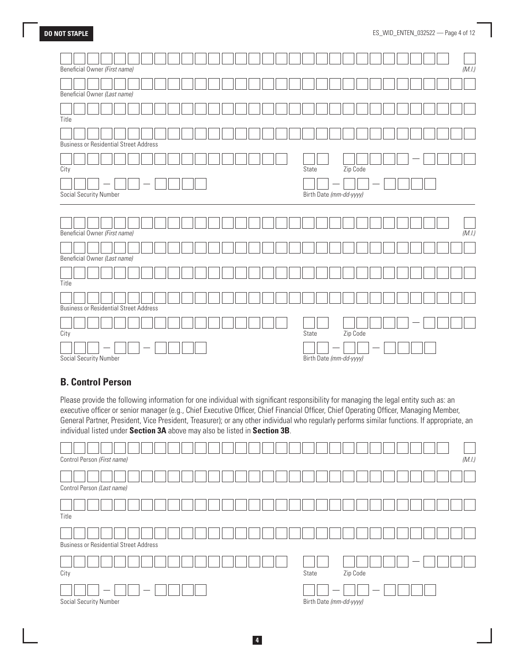| Beneficial Owner (First name)                 |  |  |  |  |  |  |       |                         |          |  |  |  | (M.I.) |
|-----------------------------------------------|--|--|--|--|--|--|-------|-------------------------|----------|--|--|--|--------|
|                                               |  |  |  |  |  |  |       |                         |          |  |  |  |        |
| Beneficial Owner (Last name)                  |  |  |  |  |  |  |       |                         |          |  |  |  |        |
|                                               |  |  |  |  |  |  |       |                         |          |  |  |  |        |
| Title                                         |  |  |  |  |  |  |       |                         |          |  |  |  |        |
|                                               |  |  |  |  |  |  |       |                         |          |  |  |  |        |
| <b>Business or Residential Street Address</b> |  |  |  |  |  |  |       |                         |          |  |  |  |        |
|                                               |  |  |  |  |  |  |       |                         |          |  |  |  |        |
| City                                          |  |  |  |  |  |  | State |                         | Zip Code |  |  |  |        |
|                                               |  |  |  |  |  |  |       |                         |          |  |  |  |        |
| Social Security Number                        |  |  |  |  |  |  |       | Birth Date (mm-dd-yyyy) |          |  |  |  |        |
|                                               |  |  |  |  |  |  |       |                         |          |  |  |  |        |
|                                               |  |  |  |  |  |  |       |                         |          |  |  |  |        |
|                                               |  |  |  |  |  |  |       |                         |          |  |  |  |        |
|                                               |  |  |  |  |  |  |       |                         |          |  |  |  |        |
| Beneficial Owner (First name)                 |  |  |  |  |  |  |       |                         |          |  |  |  | (M.I.) |
|                                               |  |  |  |  |  |  |       |                         |          |  |  |  |        |
| Beneficial Owner (Last name)                  |  |  |  |  |  |  |       |                         |          |  |  |  |        |
|                                               |  |  |  |  |  |  |       |                         |          |  |  |  |        |
| Title                                         |  |  |  |  |  |  |       |                         |          |  |  |  |        |
|                                               |  |  |  |  |  |  |       |                         |          |  |  |  |        |
| <b>Business or Residential Street Address</b> |  |  |  |  |  |  |       |                         |          |  |  |  |        |
|                                               |  |  |  |  |  |  |       |                         |          |  |  |  |        |
|                                               |  |  |  |  |  |  | State |                         |          |  |  |  |        |
| City                                          |  |  |  |  |  |  |       |                         | Zip Code |  |  |  |        |

# **B. Control Person**

Please provide the following information for one individual with significant responsibility for managing the legal entity such as: an executive officer or senior manager (e.g., Chief Executive Officer, Chief Financial Officer, Chief Operating Officer, Managing Member, General Partner, President, Vice President, Treasurer); or any other individual who regularly performs similar functions. If appropriate, an individual listed under **Section 3A** above may also be listed in **Section 3B**.

| Control Person (First name)                   | (M.I.)                  |
|-----------------------------------------------|-------------------------|
| Control Person (Last name)                    |                         |
| Title                                         |                         |
| <b>Business or Residential Street Address</b> |                         |
| City                                          | Zip Code<br>State       |
| Social Security Number                        | Birth Date (mm-dd-yyyy) |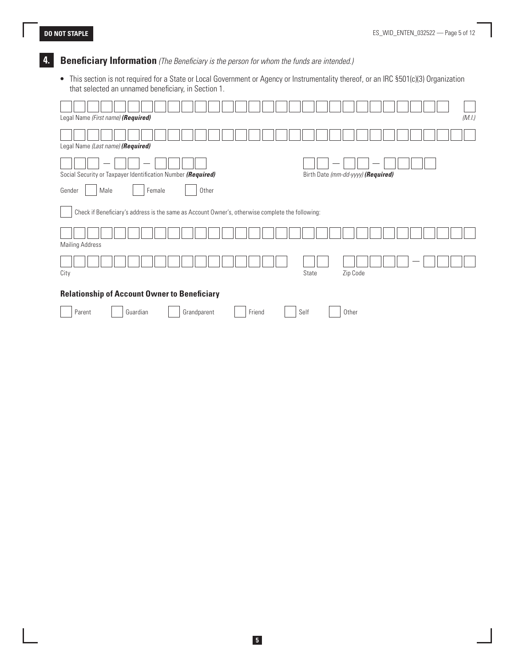# **4. Beneficiary Information** *(The Beneficiary is the person for whom the funds are intended.)*

• This section is not required for a State or Local Government or Agency or Instrumentality thereof, or an IRC §501(c)(3) Organization that selected an unnamed beneficiary, in Section 1.

| (M.I.)<br>Legal Name (First name) (Required)                                                       |
|----------------------------------------------------------------------------------------------------|
| Legal Name (Last name) (Required)                                                                  |
| Social Security or Taxpayer Identification Number (Required)<br>Birth Date (mm-dd-yyyy) (Required) |
| Other<br>Gender<br>Male<br>Female                                                                  |
| Check if Beneficiary's address is the same as Account Owner's, otherwise complete the following:   |
| <b>Mailing Address</b>                                                                             |
| Zip Code<br>City<br>State                                                                          |
| <b>Relationship of Account Owner to Beneficiary</b>                                                |
| Parent<br>Friend<br>Self<br>Guardian<br>Grandparent<br>Other                                       |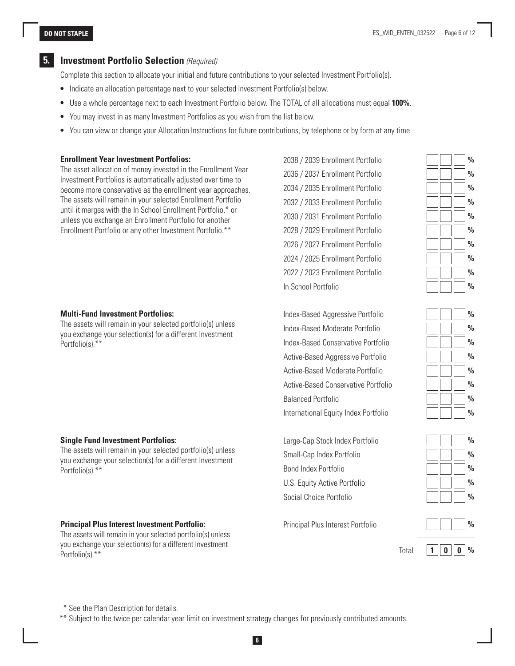# **5. Investment Portfolio Selection** *(Required)*

Complete this section to allocate your initial and future contributions to your selected Investment Portfolio(s).

- Indicate an allocation percentage next to your selected Investment Portfolio(s) below.
- Use a whole percentage next to each Investment Portfolio below. The TOTAL of all allocations must equal **100%**.
- You may invest in as many Investment Portfolios as you wish from the list below.
- You can view or change your Allocation Instructions for future contributions, by telephone or by form at any time.

#### **Enrollment Year Investment Portfolios:**

The asset allocation of money invested in the Enrollment Year Investment Portfolios is automatically adjusted over time to become more conservative as the enrollment year approaches. The assets will remain in your selected Enrollment Portfolio until it merges with the In School Enrollment Portfolio,\* or unless you exchange an Enrollment Portfolio for another Enrollment Portfolio or any other Investment Portfolio.\*\*

#### **Multi-Fund Investment Portfolios:**

The assets will remain in your selected portfolio(s) unless you exchange your selection(s) for a different Investment Portfolio(s).\*\*

#### **Single Fund Investment Portfolios:**

The assets will remain in your selected portfolio(s) unless you exchange your selection(s) for a different Investment Portfolio(s).\*\*

#### **Principal Plus Interest Investment Portfolio:**

The assets will remain in your selected portfolio(s) unless you exchange your selection(s) for a different Investment Portfolio(s).\*\*

2038 / 2039 Enrollment Portfolio **%** 2036 / 2037 Enrollment Portfolio **%** 2034 / 2035 Enrollment Portfolio **%** 2032 / 2033 Enrollment Portfolio **%** 2030 / 2031 Enrollment Portfolio **%** 2028 / 2029 Enrollment Portfolio **%** 2026 / 2027 Enrollment Portfolio **%** 2024 / 2025 Enrollment Portfolio **%** 2022 / 2023 Enrollment Portfolio **%** In School Portfolio **%**



Index-Based Aggressive Portfolio **%** Index-Based Moderate Portfolio **%** Index-Based Conservative Portfolio **%** Active-Based Aggressive Portfolio **%** Active-Based Moderate Portfolio **%** Active-Based Conservative Portfolio **%** Balanced Portfolio **822 1223 1224 1225 1226 1227 1228 1229 122** International Equity Index Portfolio **%**

Large-Cap Stock Index Portfolio **%** Small-Cap Index Portfolio **%** Bond Index Portfolio **%** U.S. Equity Active Portfolio **%** Social Choice Portfolio **%**

Principal Plus Interest Portfolio **%**





\* See the Plan Description for details.

\*\* Subject to the twice per calendar year limit on investment strategy changes for previously contributed amounts.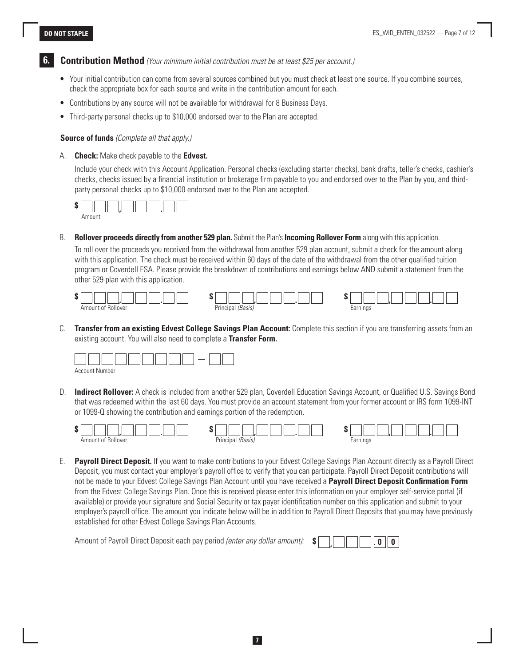**6. Contribution Method** *(Your minimum initial contribution must be at least \$25 per account.)*

- Your initial contribution can come from several sources combined but you must check at least one source. If you combine sources, check the appropriate box for each source and write in the contribution amount for each.
- Contributions by any source will not be available for withdrawal for 8 Business Days.
- Third-party personal checks up to \$10,000 endorsed over to the Plan are accepted.

#### **Source of funds** *(Complete all that apply.)*

A. **Check:** Make check payable to the **Edvest.**

Include your check with this Account Application. Personal checks (excluding starter checks), bank drafts, teller's checks, cashier's checks, checks issued by a financial institution or brokerage firm payable to you and endorsed over to the Plan by you, and thirdparty personal checks up to \$10,000 endorsed over to the Plan are accepted.



B. **Rollover proceeds directly from another 529 plan.** Submit the Plan's **Incoming Rollover Form** along with this application.

To roll over the proceeds you received from the withdrawal from another 529 plan account, submit a check for the amount along with this application. The check must be received within 60 days of the date of the withdrawal from the other qualified tuition program or Coverdell ESA. Please provide the breakdown of contributions and earnings below AND submit a statement from the other 529 plan with this application.



C. **Transfer from an existing Edvest College Savings Plan Account:** Complete this section if you are transferring assets from an existing account. You will also need to complete a **Transfer Form.**



D. **Indirect Rollover:** A check is included from another 529 plan, Coverdell Education Savings Account, or Qualified U.S. Savings Bond that was redeemed within the last 60 days. You must provide an account statement from your former account or IRS form 1099-INT or 1099-Q showing the contribution and earnings portion of the redemption.



E. **Payroll Direct Deposit.** If you want to make contributions to your Edvest College Savings Plan Account directly as a Payroll Direct Deposit, you must contact your employer's payroll office to verify that you can participate. Payroll Direct Deposit contributions will not be made to your Edvest College Savings Plan Account until you have received a **Payroll Direct Deposit Confirmation Form**  from the Edvest College Savings Plan. Once this is received please enter this information on your employer self-service portal (if available) or provide your signature and Social Security or tax payer identification number on this application and submit to your employer's payroll office. The amount you indicate below will be in addition to Payroll Direct Deposits that you may have previously established for other Edvest College Savings Plan Accounts.

Amount of Payroll Direct Deposit each pay period *(enter any dollar amount):* **\$ , . 0 0**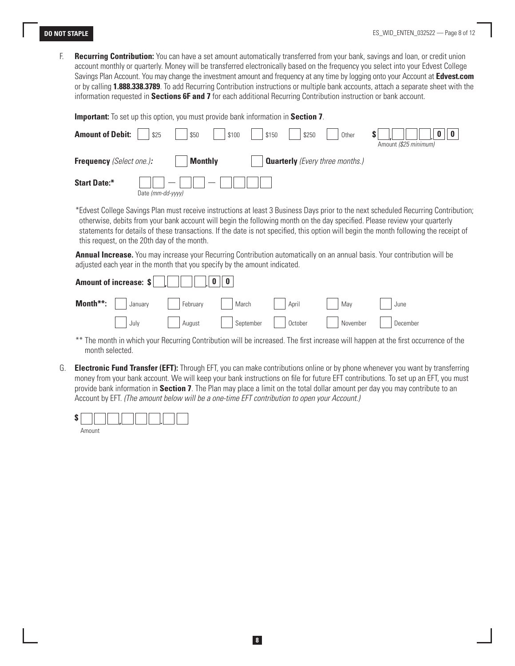F. **Recurring Contribution:** You can have a set amount automatically transferred from your bank, savings and loan, or credit union account monthly or quarterly. Money will be transferred electronically based on the frequency you select into your Edvest College Savings Plan Account. You may change the investment amount and frequency at any time by logging onto your Account at **Edvest.com** or by calling **1.888.338.3789**. To add Recurring Contribution instructions or multiple bank accounts, attach a separate sheet with the information requested in **Sections 6F and 7** for each additional Recurring Contribution instruction or bank account.

**Important:** To set up this option, you must provide bank information in **Section 7**.

 $-$ 

| <b>Amount of Debit:</b>         | \$25                                          | \$50           | \$100                    | \$150 | \$250 | Other                                  | Amount (\$25 minimum) |
|---------------------------------|-----------------------------------------------|----------------|--------------------------|-------|-------|----------------------------------------|-----------------------|
| <b>Frequency</b> (Select one.): |                                               | <b>Monthly</b> |                          |       |       | <b>Quarterly</b> (Every three months.) |                       |
| <b>Start Date:*</b>             | $\overline{\phantom{a}}$<br>Date (mm-dd-yyyy) |                | $\overline{\phantom{a}}$ |       |       |                                        |                       |

\*Edvest College Savings Plan must receive instructions at least 3 Business Days prior to the next scheduled Recurring Contribution; otherwise, debits from your bank account will begin the following month on the day specified. Please review your quarterly statements for details of these transactions. If the date is not specified, this option will begin the month following the receipt of this request, on the 20th day of the month.

 **Annual Increase.** You may increase your Recurring Contribution automatically on an annual basis. Your contribution will be adjusted each year in the month that you specify by the amount indicated.

| Amount of increase: $\ \cdot\ $         0   0 |  |       |                                         |          |
|-----------------------------------------------|--|-------|-----------------------------------------|----------|
| <b>Month**:</b> January   February   March    |  | April | May                                     | June     |
| July                                          |  |       | August   September   October   November | December |

- \*\* The month in which your Recurring Contribution will be increased. The first increase will happen at the first occurrence of the month selected.
- G. **Electronic Fund Transfer (EFT):** Through EFT, you can make contributions online or by phone whenever you want by transferring money from your bank account. We will keep your bank instructions on file for future EFT contributions. To set up an EFT, you must provide bank information in **Section 7**. The Plan may place a limit on the total dollar amount per day you may contribute to an Account by EFT. *(The amount below will be a one-time EFT contribution to open your Account.)*

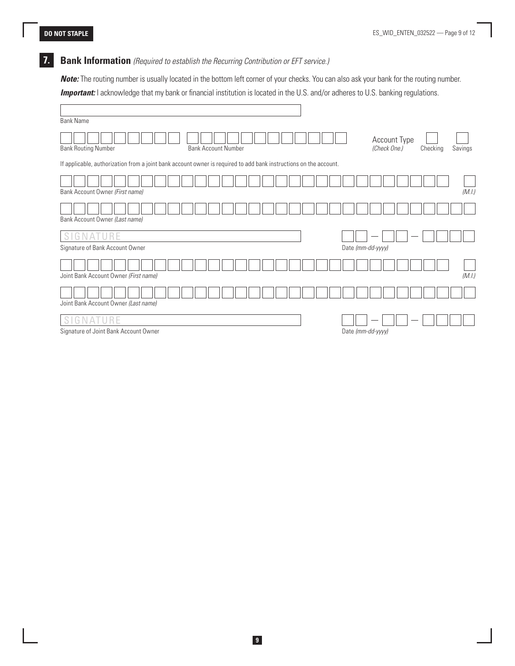# **7. Bank Information** *(Required to establish the Recurring Contribution or EFT service.)*

*Note:* The routing number is usually located in the bottom left corner of your checks. You can also ask your bank for the routing number. **Important:** I acknowledge that my bank or financial institution is located in the U.S. and/or adheres to U.S. banking regulations.

| <b>Bank Name</b>                                                                                                  |                                                     |
|-------------------------------------------------------------------------------------------------------------------|-----------------------------------------------------|
| <b>Bank Account Number</b><br><b>Bank Routing Number</b>                                                          | Account Type<br>(Check One.)<br>Checking<br>Savings |
| If applicable, authorization from a joint bank account owner is required to add bank instructions on the account. |                                                     |
| Bank Account Owner (First name)                                                                                   | (M.I.)                                              |
| Bank Account Owner (Last name)                                                                                    |                                                     |
| SIGNATURE<br>Signature of Bank Account Owner                                                                      | Date (mm-dd-yyyy)                                   |
| Joint Bank Account Owner (First name)                                                                             | (M.I.)                                              |
| Joint Bank Account Owner (Last name)                                                                              |                                                     |
| GNATURE<br>S I<br>Signature of Joint Bank Account Owner                                                           | Date (mm-dd-yyyy)                                   |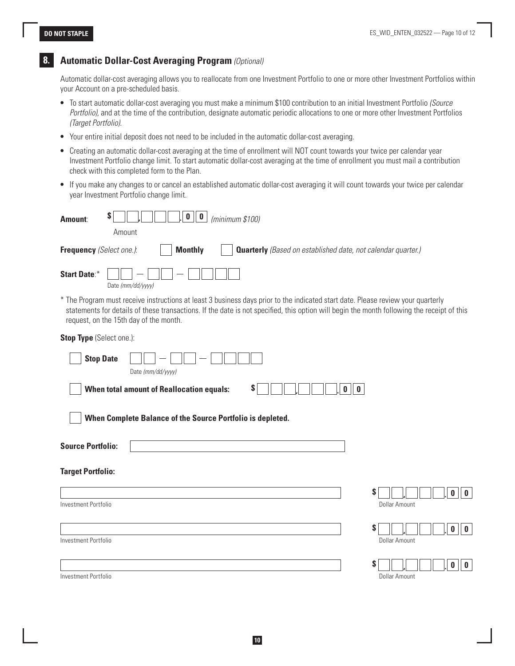# **8. Automatic Dollar-Cost Averaging Program** *(Optional)*

Automatic dollar-cost averaging allows you to reallocate from one Investment Portfolio to one or more other Investment Portfolios within your Account on a pre-scheduled basis.

- To start automatic dollar-cost averaging you must make a minimum \$100 contribution to an initial Investment Portfolio *(Source Portfolio),* and at the time of the contribution, designate automatic periodic allocations to one or more other Investment Portfolios *(Target Portfolio).*
- Your entire initial deposit does not need to be included in the automatic dollar-cost averaging.
- Creating an automatic dollar-cost averaging at the time of enrollment will NOT count towards your twice per calendar year Investment Portfolio change limit. To start automatic dollar-cost averaging at the time of enrollment you must mail a contribution check with this completed form to the Plan.
- If you make any changes to or cancel an established automatic dollar-cost averaging it will count towards your twice per calendar year Investment Portfolio change limit.

| \$<br>$\mathbf 0$<br>$\pmb{0}$<br>(minimum \$100)<br><b>Amount:</b>                                                                                                                                                                                                                                                      |                                                                     |
|--------------------------------------------------------------------------------------------------------------------------------------------------------------------------------------------------------------------------------------------------------------------------------------------------------------------------|---------------------------------------------------------------------|
| Amount                                                                                                                                                                                                                                                                                                                   |                                                                     |
| <b>Monthly</b><br>Frequency (Select one.):                                                                                                                                                                                                                                                                               | <b>Quarterly</b> (Based on established date, not calendar quarter.) |
| <b>Start Date:*</b><br>Date (mm/dd/yyyy)                                                                                                                                                                                                                                                                                 |                                                                     |
| * The Program must receive instructions at least 3 business days prior to the indicated start date. Please review your quarterly<br>statements for details of these transactions. If the date is not specified, this option will begin the month following the receipt of this<br>request, on the 15th day of the month. |                                                                     |
| Stop Type (Select one.):                                                                                                                                                                                                                                                                                                 |                                                                     |
| <b>Stop Date</b><br>Date (mm/dd/yyyy)                                                                                                                                                                                                                                                                                    |                                                                     |
| <b>When total amount of Reallocation equals:</b><br>S.                                                                                                                                                                                                                                                                   | $\pmb{0}$<br>$\pmb{0}$                                              |
| When Complete Balance of the Source Portfolio is depleted.                                                                                                                                                                                                                                                               |                                                                     |
| <b>Source Portfolio:</b>                                                                                                                                                                                                                                                                                                 |                                                                     |
| <b>Target Portfolio:</b>                                                                                                                                                                                                                                                                                                 |                                                                     |
|                                                                                                                                                                                                                                                                                                                          | \$<br>0<br>$\mathbf{0}$                                             |
| Investment Portfolio                                                                                                                                                                                                                                                                                                     | <b>Dollar Amount</b>                                                |
|                                                                                                                                                                                                                                                                                                                          | $\mathbf 0$<br>$\bf{0}$<br>S                                        |
| Investment Portfolio                                                                                                                                                                                                                                                                                                     | <b>Dollar Amount</b>                                                |
|                                                                                                                                                                                                                                                                                                                          | S<br>0<br>0                                                         |
| Investment Portfolio                                                                                                                                                                                                                                                                                                     | <b>Dollar Amount</b>                                                |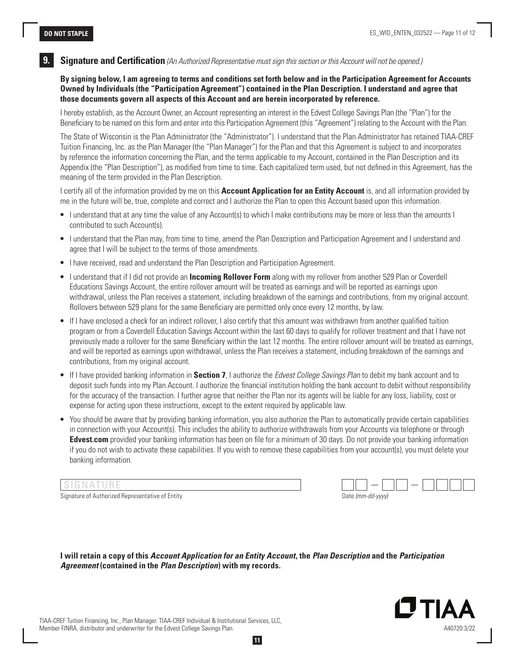#### **9. Signature and Certification** *(An Authorized Representative must sign this section or this Account will not be opened.)*

**By signing below, I am agreeing to terms and conditions set forth below and in the Participation Agreement for Accounts Owned by Individuals (the "Participation Agreement") contained in the Plan Description. I understand and agree that those documents govern all aspects of this Account and are herein incorporated by reference.** 

I hereby establish, as the Account Owner, an Account representing an interest in the Edvest College Savings Plan (the "Plan") for the Beneficiary to be named on this form and enter into this Participation Agreement (this "Agreement") relating to the Account with the Plan.

The State of Wisconsin is the Plan Administrator (the "Administrator"). I understand that the Plan Administrator has retained TIAA-CREF Tuition Financing, Inc. as the Plan Manager (the "Plan Manager") for the Plan and that this Agreement is subject to and incorporates by reference the information concerning the Plan, and the terms applicable to my Account, contained in the Plan Description and its Appendix (the "Plan Description"), as modified from time to time. Each capitalized term used, but not defined in this Agreement, has the meaning of the term provided in the Plan Description.

I certify all of the information provided by me on this **Account Application for an Entity Account** is, and all information provided by me in the future will be, true, complete and correct and I authorize the Plan to open this Account based upon this information.

- I understand that at any time the value of any Account(s) to which I make contributions may be more or less than the amounts I contributed to such Account(s).
- I understand that the Plan may, from time to time, amend the Plan Description and Participation Agreement and I understand and agree that I will be subject to the terms of those amendments.
- I have received, read and understand the Plan Description and Participation Agreement.
- I understand that if I did not provide an **Incoming Rollover Form** along with my rollover from another 529 Plan or Coverdell Educations Savings Account, the entire rollover amount will be treated as earnings and will be reported as earnings upon withdrawal, unless the Plan receives a statement, including breakdown of the earnings and contributions, from my original account. Rollovers between 529 plans for the same Beneficiary are permitted only once every 12 months, by law.
- If I have enclosed a check for an indirect rollover, I also certify that this amount was withdrawn from another qualified tuition program or from a Coverdell Education Savings Account within the last 60 days to qualify for rollover treatment and that I have not previously made a rollover for the same Beneficiary within the last 12 months. The entire rollover amount will be treated as earnings, and will be reported as earnings upon withdrawal, unless the Plan receives a statement, including breakdown of the earnings and contributions, from my original account.
- If I have provided banking information in **Section 7**, I authorize the *Edvest College Savings Plan* to debit my bank account and to deposit such funds into my Plan Account. I authorize the financial institution holding the bank account to debit without responsibility for the accuracy of the transaction. I further agree that neither the Plan nor its agents will be liable for any loss, liability, cost or expense for acting upon these instructions, except to the extent required by applicable law.
- You should be aware that by providing banking information, you also authorize the Plan to automatically provide certain capabilities in connection with your Account(s). This includes the ability to authorize withdrawals from your Accounts via telephone or through **Edvest.com** provided your banking information has been on file for a minimum of 30 days. Do not provide your banking information if you do not wish to activate these capabilities. If you wish to remove these capabilities from your account(s), you must delete your banking information.

Signature of Authorized Representative of Entity

| Date (mm-dd-yyyy) |  |  |
|-------------------|--|--|

**I will retain a copy of this** *Account Application for an Entity Account***, the** *Plan Description* **and the** *Participation Agreement* **(contained in the** *Plan Description***) with my records.** 



TIAA-CREF Tuition Financing, Inc., Plan Manager. TIAA-CREF Individual & Institutional Services, LLC, Member FINRA, distributor and underwriter for the Edvest College Savings Plan.